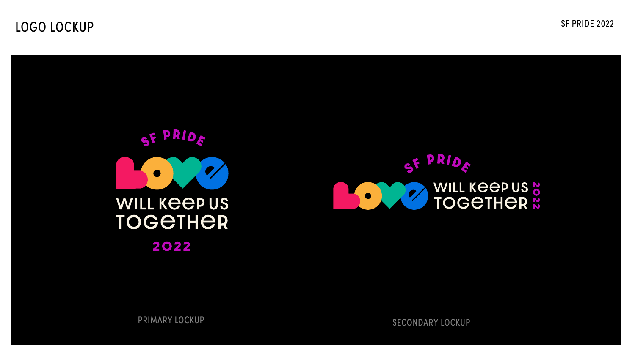SF PRIDE 2022



PRIMARY LOCKUP SECONDARY LOCKUP



## LOGO LOCKUP

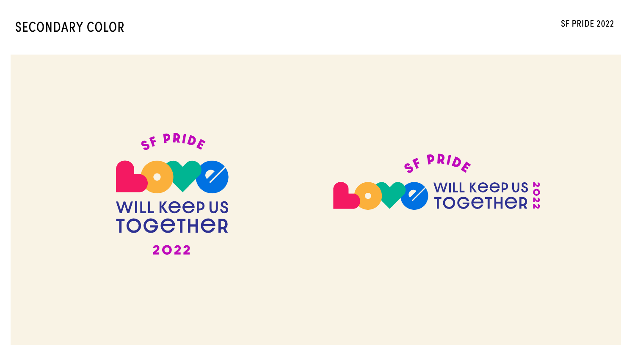## SECONDARY COLOR SF PRIDE 2022



PRIDE SF **BOOK WILL KEEP US &** 



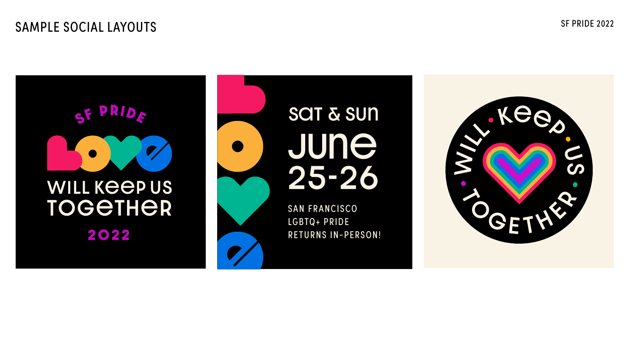## SAMPLE SOCIAL LAYOUTS SF PRIDE 2022



# June 25-26 SOT & SUN

SAN FRANCISCO LGBTQ+ PRIDE RETURNS IN-PERSON!

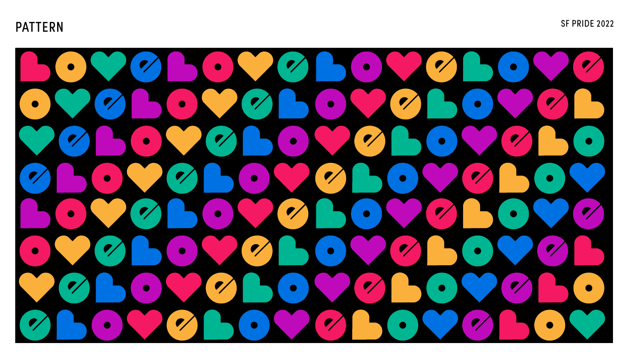## PATTERN SF PRIDE 2022

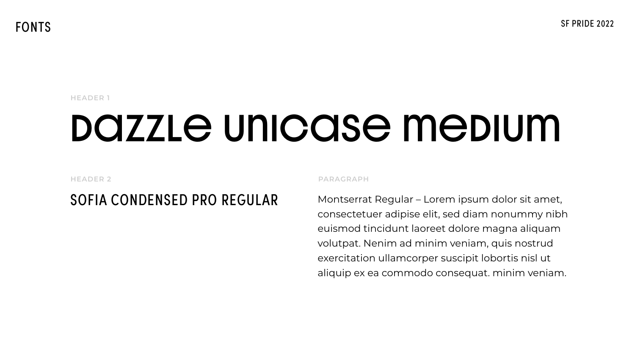**FONTS** 

### **HEADER 1**

# DOZZLE UNICOSE MEDIUM

**HEADER 2** 

## SOFIA CONDENSED PRO REGULAR

**SF PRIDE 2022** 

### PARAGRAPH

Montserrat Regular - Lorem ipsum dolor sit amet, consectetuer adipise elit, sed diam nonummy nibh euismod tincidunt laoreet dolore magna aliquam volutpat. Nenim ad minim veniam, quis nostrud exercitation ullamcorper suscipit lobortis nisl ut aliquip ex ea commodo consequat. minim veniam.